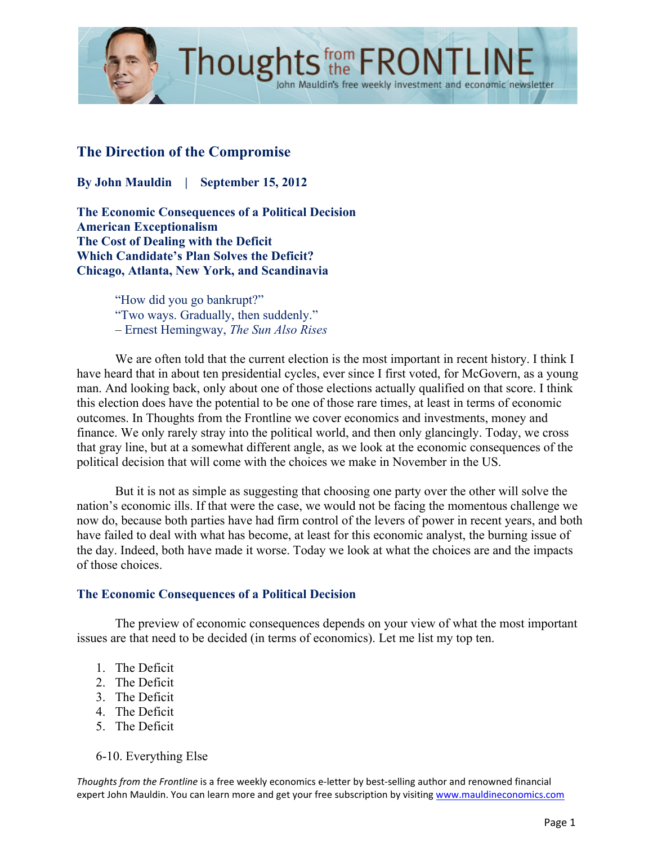

# **The Direction of the Compromise**

**By John Mauldin | September 15, 2012**

**The Economic Consequences of a Political Decision American Exceptionalism The Cost of Dealing with the Deficit Which Candidate's Plan Solves the Deficit? Chicago, Atlanta, New York, and Scandinavia**

> "How did you go bankrupt?" "Two ways. Gradually, then suddenly." – Ernest Hemingway, *The Sun Also Rises*

We are often told that the current election is the most important in recent history. I think I have heard that in about ten presidential cycles, ever since I first voted, for McGovern, as a young man. And looking back, only about one of those elections actually qualified on that score. I think this election does have the potential to be one of those rare times, at least in terms of economic outcomes. In Thoughts from the Frontline we cover economics and investments, money and finance. We only rarely stray into the political world, and then only glancingly. Today, we cross that gray line, but at a somewhat different angle, as we look at the economic consequences of the political decision that will come with the choices we make in November in the US.

John Mauldin's free weekly investment and economic newsletter

But it is not as simple as suggesting that choosing one party over the other will solve the nation's economic ills. If that were the case, we would not be facing the momentous challenge we now do, because both parties have had firm control of the levers of power in recent years, and both have failed to deal with what has become, at least for this economic analyst, the burning issue of the day. Indeed, both have made it worse. Today we look at what the choices are and the impacts of those choices.

## **The Economic Consequences of a Political Decision**

The preview of economic consequences depends on your view of what the most important issues are that need to be decided (in terms of economics). Let me list my top ten.

- 1. The Deficit
- 2. The Deficit
- 3. The Deficit
- 4. The Deficit
- 5. The Deficit
- 6-10. Everything Else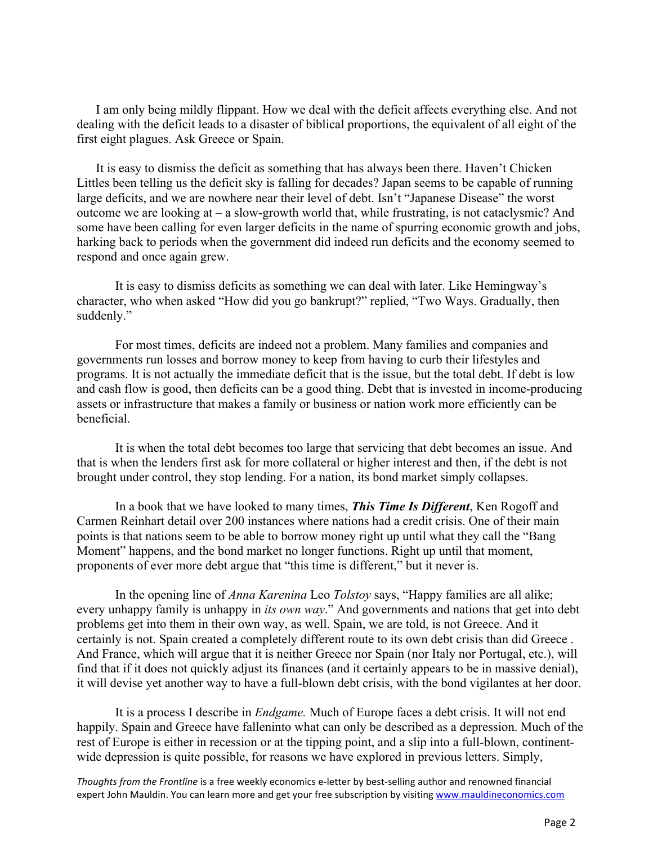I am only being mildly flippant. How we deal with the deficit affects everything else. And not dealing with the deficit leads to a disaster of biblical proportions, the equivalent of all eight of the first eight plagues. Ask Greece or Spain.

It is easy to dismiss the deficit as something that has always been there. Haven't Chicken Littles been telling us the deficit sky is falling for decades? Japan seems to be capable of running large deficits, and we are nowhere near their level of debt. Isn't "Japanese Disease" the worst outcome we are looking at – a slow-growth world that, while frustrating, is not cataclysmic? And some have been calling for even larger deficits in the name of spurring economic growth and jobs, harking back to periods when the government did indeed run deficits and the economy seemed to respond and once again grew.

It is easy to dismiss deficits as something we can deal with later. Like Hemingway's character, who when asked "How did you go bankrupt?" replied, "Two Ways. Gradually, then suddenly."

For most times, deficits are indeed not a problem. Many families and companies and governments run losses and borrow money to keep from having to curb their lifestyles and programs. It is not actually the immediate deficit that is the issue, but the total debt. If debt is low and cash flow is good, then deficits can be a good thing. Debt that is invested in income-producing assets or infrastructure that makes a family or business or nation work more efficiently can be beneficial.

It is when the total debt becomes too large that servicing that debt becomes an issue. And that is when the lenders first ask for more collateral or higher interest and then, if the debt is not brought under control, they stop lending. For a nation, its bond market simply collapses.

In a book that we have looked to many times, *This Time Is Different*, Ken Rogoff and Carmen Reinhart detail over 200 instances where nations had a credit crisis. One of their main points is that nations seem to be able to borrow money right up until what they call the "Bang Moment" happens, and the bond market no longer functions. Right up until that moment, proponents of ever more debt argue that "this time is different," but it never is.

In the opening line of *Anna Karenina* Leo *Tolstoy* says, "Happy families are all alike; every unhappy family is unhappy in *its own way*." And governments and nations that get into debt problems get into them in their own way, as well. Spain, we are told, is not Greece. And it certainly is not. Spain created a completely different route to its own debt crisis than did Greece . And France, which will argue that it is neither Greece nor Spain (nor Italy nor Portugal, etc.), will find that if it does not quickly adjust its finances (and it certainly appears to be in massive denial), it will devise yet another way to have a full-blown debt crisis, with the bond vigilantes at her door.

It is a process I describe in *Endgame.* Much of Europe faces a debt crisis. It will not end happily. Spain and Greece have falleninto what can only be described as a depression. Much of the rest of Europe is either in recession or at the tipping point, and a slip into a full-blown, continentwide depression is quite possible, for reasons we have explored in previous letters. Simply,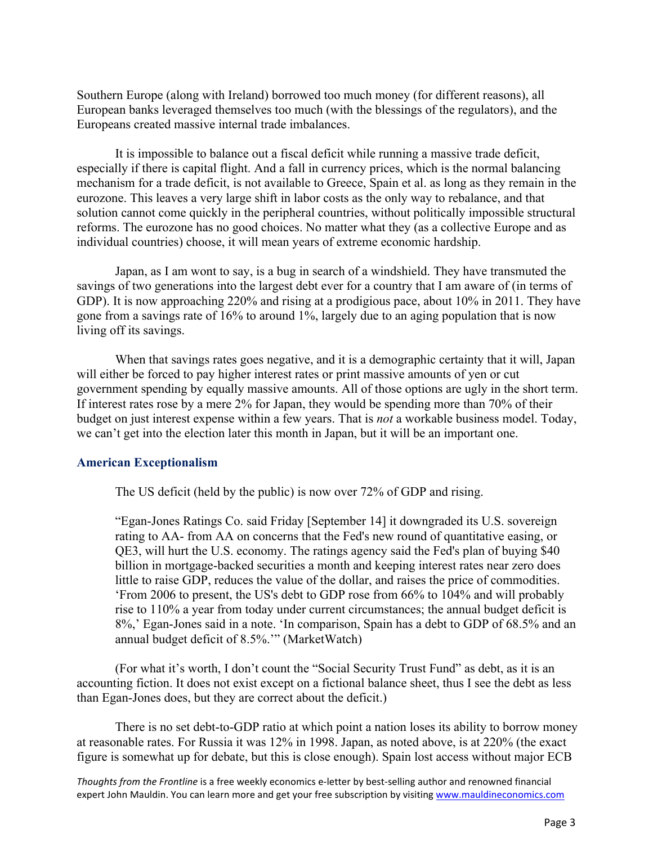Southern Europe (along with Ireland) borrowed too much money (for different reasons), all European banks leveraged themselves too much (with the blessings of the regulators), and the Europeans created massive internal trade imbalances.

It is impossible to balance out a fiscal deficit while running a massive trade deficit, especially if there is capital flight. And a fall in currency prices, which is the normal balancing mechanism for a trade deficit, is not available to Greece, Spain et al. as long as they remain in the eurozone. This leaves a very large shift in labor costs as the only way to rebalance, and that solution cannot come quickly in the peripheral countries, without politically impossible structural reforms. The eurozone has no good choices. No matter what they (as a collective Europe and as individual countries) choose, it will mean years of extreme economic hardship.

Japan, as I am wont to say, is a bug in search of a windshield. They have transmuted the savings of two generations into the largest debt ever for a country that I am aware of (in terms of GDP). It is now approaching 220% and rising at a prodigious pace, about 10% in 2011. They have gone from a savings rate of 16% to around 1%, largely due to an aging population that is now living off its savings.

When that savings rates goes negative, and it is a demographic certainty that it will, Japan will either be forced to pay higher interest rates or print massive amounts of yen or cut government spending by equally massive amounts. All of those options are ugly in the short term. If interest rates rose by a mere 2% for Japan, they would be spending more than 70% of their budget on just interest expense within a few years. That is *not* a workable business model. Today, we can't get into the election later this month in Japan, but it will be an important one.

#### **American Exceptionalism**

The US deficit (held by the public) is now over 72% of GDP and rising.

"Egan-Jones Ratings Co. said Friday [September 14] it downgraded its U.S. sovereign rating to AA- from AA on concerns that the Fed's new round of quantitative easing, or QE3, will hurt the U.S. economy. The ratings agency said the Fed's plan of buying \$40 billion in mortgage-backed securities a month and keeping interest rates near zero does little to raise GDP, reduces the value of the dollar, and raises the price of commodities. 'From 2006 to present, the US's debt to GDP rose from 66% to 104% and will probably rise to 110% a year from today under current circumstances; the annual budget deficit is 8%,' Egan-Jones said in a note. 'In comparison, Spain has a debt to GDP of 68.5% and an annual budget deficit of 8.5%.'" (MarketWatch)

(For what it's worth, I don't count the "Social Security Trust Fund" as debt, as it is an accounting fiction. It does not exist except on a fictional balance sheet, thus I see the debt as less than Egan-Jones does, but they are correct about the deficit.)

There is no set debt-to-GDP ratio at which point a nation loses its ability to borrow money at reasonable rates. For Russia it was 12% in 1998. Japan, as noted above, is at 220% (the exact figure is somewhat up for debate, but this is close enough). Spain lost access without major ECB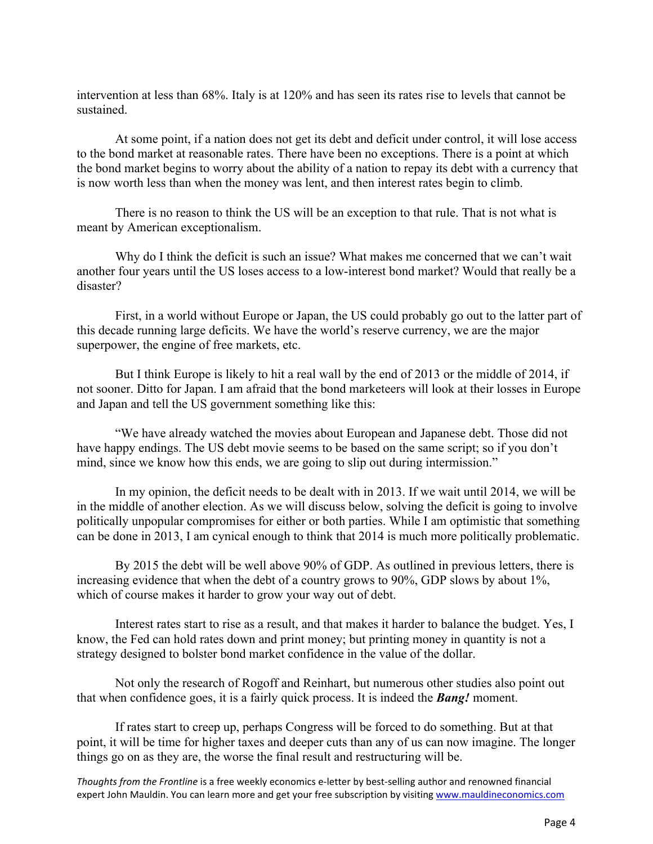intervention at less than 68%. Italy is at 120% and has seen its rates rise to levels that cannot be sustained.

At some point, if a nation does not get its debt and deficit under control, it will lose access to the bond market at reasonable rates. There have been no exceptions. There is a point at which the bond market begins to worry about the ability of a nation to repay its debt with a currency that is now worth less than when the money was lent, and then interest rates begin to climb.

There is no reason to think the US will be an exception to that rule. That is not what is meant by American exceptionalism.

Why do I think the deficit is such an issue? What makes me concerned that we can't wait another four years until the US loses access to a low-interest bond market? Would that really be a disaster?

First, in a world without Europe or Japan, the US could probably go out to the latter part of this decade running large deficits. We have the world's reserve currency, we are the major superpower, the engine of free markets, etc.

But I think Europe is likely to hit a real wall by the end of 2013 or the middle of 2014, if not sooner. Ditto for Japan. I am afraid that the bond marketeers will look at their losses in Europe and Japan and tell the US government something like this:

"We have already watched the movies about European and Japanese debt. Those did not have happy endings. The US debt movie seems to be based on the same script; so if you don't mind, since we know how this ends, we are going to slip out during intermission."

In my opinion, the deficit needs to be dealt with in 2013. If we wait until 2014, we will be in the middle of another election. As we will discuss below, solving the deficit is going to involve politically unpopular compromises for either or both parties. While I am optimistic that something can be done in 2013, I am cynical enough to think that 2014 is much more politically problematic.

By 2015 the debt will be well above 90% of GDP. As outlined in previous letters, there is increasing evidence that when the debt of a country grows to 90%, GDP slows by about 1%, which of course makes it harder to grow your way out of debt.

Interest rates start to rise as a result, and that makes it harder to balance the budget. Yes, I know, the Fed can hold rates down and print money; but printing money in quantity is not a strategy designed to bolster bond market confidence in the value of the dollar.

Not only the research of Rogoff and Reinhart, but numerous other studies also point out that when confidence goes, it is a fairly quick process. It is indeed the *Bang!* moment.

If rates start to creep up, perhaps Congress will be forced to do something. But at that point, it will be time for higher taxes and deeper cuts than any of us can now imagine. The longer things go on as they are, the worse the final result and restructuring will be.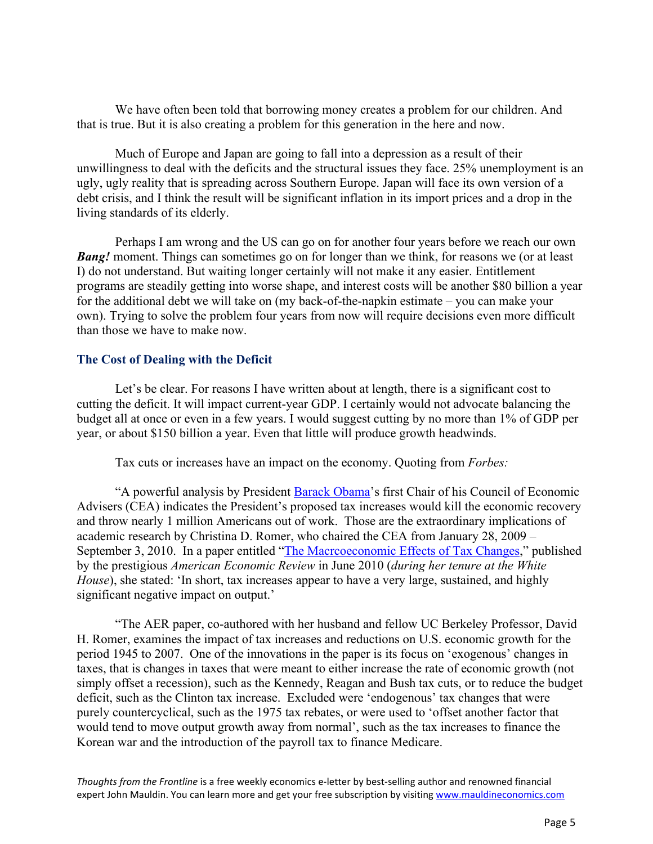We have often been told that borrowing money creates a problem for our children. And that is true. But it is also creating a problem for this generation in the here and now.

Much of Europe and Japan are going to fall into a depression as a result of their unwillingness to deal with the deficits and the structural issues they face. 25% unemployment is an ugly, ugly reality that is spreading across Southern Europe. Japan will face its own version of a debt crisis, and I think the result will be significant inflation in its import prices and a drop in the living standards of its elderly.

Perhaps I am wrong and the US can go on for another four years before we reach our own *Bang!* moment. Things can sometimes go on for longer than we think, for reasons we (or at least I) do not understand. But waiting longer certainly will not make it any easier. Entitlement programs are steadily getting into worse shape, and interest costs will be another \$80 billion a year for the additional debt we will take on (my back-of-the-napkin estimate – you can make your own). Trying to solve the problem four years from now will require decisions even more difficult than those we have to make now.

#### **The Cost of Dealing with the Deficit**

Let's be clear. For reasons I have written about at length, there is a significant cost to cutting the deficit. It will impact current-year GDP. I certainly would not advocate balancing the budget all at once or even in a few years. I would suggest cutting by no more than 1% of GDP per year, or about \$150 billion a year. Even that little will produce growth headwinds.

Tax cuts or increases have an impact on the economy. Quoting from *Forbes:*

"A powerful analysis by President Barack Obama's first Chair of his Council of Economic Advisers (CEA) indicates the President's proposed tax increases would kill the economic recovery and throw nearly 1 million Americans out of work. Those are the extraordinary implications of academic research by Christina D. Romer, who chaired the CEA from January 28, 2009 – September 3, 2010. In a paper entitled "The Macroeconomic Effects of Tax Changes," published by the prestigious *American Economic Review* in June 2010 (*during her tenure at the White House*), she stated: 'In short, tax increases appear to have a very large, sustained, and highly significant negative impact on output.'

"The AER paper, co-authored with her husband and fellow UC Berkeley Professor, David H. Romer, examines the impact of tax increases and reductions on U.S. economic growth for the period 1945 to 2007. One of the innovations in the paper is its focus on 'exogenous' changes in taxes, that is changes in taxes that were meant to either increase the rate of economic growth (not simply offset a recession), such as the Kennedy, Reagan and Bush tax cuts, or to reduce the budget deficit, such as the Clinton tax increase. Excluded were 'endogenous' tax changes that were purely countercyclical, such as the 1975 tax rebates, or were used to 'offset another factor that would tend to move output growth away from normal', such as the tax increases to finance the Korean war and the introduction of the payroll tax to finance Medicare.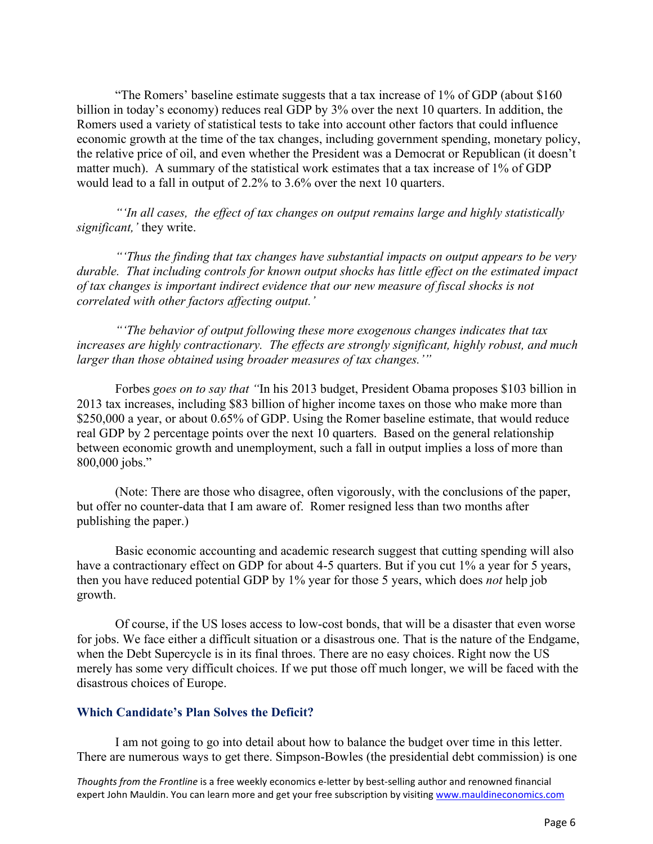"The Romers' baseline estimate suggests that a tax increase of 1% of GDP (about \$160 billion in today's economy) reduces real GDP by 3% over the next 10 quarters. In addition, the Romers used a variety of statistical tests to take into account other factors that could influence economic growth at the time of the tax changes, including government spending, monetary policy, the relative price of oil, and even whether the President was a Democrat or Republican (it doesn't matter much). A summary of the statistical work estimates that a tax increase of 1% of GDP would lead to a fall in output of 2.2% to 3.6% over the next 10 quarters.

*"'In all cases, the effect of tax changes on output remains large and highly statistically significant,'* they write.

*"'Thus the finding that tax changes have substantial impacts on output appears to be very durable. That including controls for known output shocks has little effect on the estimated impact of tax changes is important indirect evidence that our new measure of fiscal shocks is not correlated with other factors affecting output.'*

*"'The behavior of output following these more exogenous changes indicates that tax increases are highly contractionary. The effects are strongly significant, highly robust, and much larger than those obtained using broader measures of tax changes.'"*

Forbes *goes on to say that "*In his 2013 budget, President Obama proposes \$103 billion in 2013 tax increases, including \$83 billion of higher income taxes on those who make more than \$250,000 a year, or about 0.65% of GDP. Using the Romer baseline estimate, that would reduce real GDP by 2 percentage points over the next 10 quarters. Based on the general relationship between economic growth and unemployment, such a fall in output implies a loss of more than 800,000 jobs."

(Note: There are those who disagree, often vigorously, with the conclusions of the paper, but offer no counter-data that I am aware of. Romer resigned less than two months after publishing the paper.)

Basic economic accounting and academic research suggest that cutting spending will also have a contractionary effect on GDP for about 4-5 quarters. But if you cut 1% a year for 5 years, then you have reduced potential GDP by 1% year for those 5 years, which does *not* help job growth.

Of course, if the US loses access to low-cost bonds, that will be a disaster that even worse for jobs. We face either a difficult situation or a disastrous one. That is the nature of the Endgame, when the Debt Supercycle is in its final throes. There are no easy choices. Right now the US merely has some very difficult choices. If we put those off much longer, we will be faced with the disastrous choices of Europe.

## **Which Candidate's Plan Solves the Deficit?**

I am not going to go into detail about how to balance the budget over time in this letter. There are numerous ways to get there. Simpson-Bowles (the presidential debt commission) is one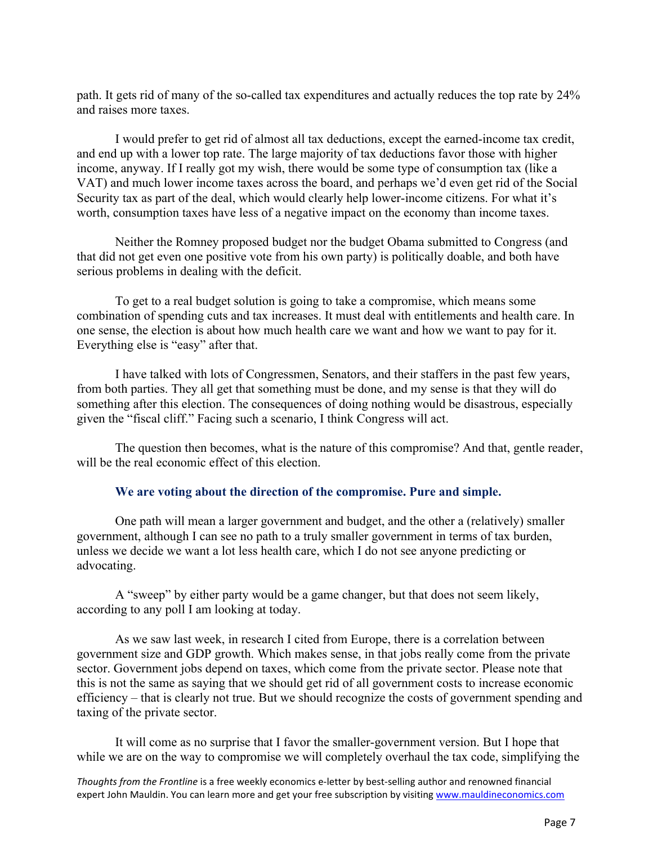path. It gets rid of many of the so-called tax expenditures and actually reduces the top rate by 24% and raises more taxes.

I would prefer to get rid of almost all tax deductions, except the earned-income tax credit, and end up with a lower top rate. The large majority of tax deductions favor those with higher income, anyway. If I really got my wish, there would be some type of consumption tax (like a VAT) and much lower income taxes across the board, and perhaps we'd even get rid of the Social Security tax as part of the deal, which would clearly help lower-income citizens. For what it's worth, consumption taxes have less of a negative impact on the economy than income taxes.

Neither the Romney proposed budget nor the budget Obama submitted to Congress (and that did not get even one positive vote from his own party) is politically doable, and both have serious problems in dealing with the deficit.

To get to a real budget solution is going to take a compromise, which means some combination of spending cuts and tax increases. It must deal with entitlements and health care. In one sense, the election is about how much health care we want and how we want to pay for it. Everything else is "easy" after that.

I have talked with lots of Congressmen, Senators, and their staffers in the past few years, from both parties. They all get that something must be done, and my sense is that they will do something after this election. The consequences of doing nothing would be disastrous, especially given the "fiscal cliff." Facing such a scenario, I think Congress will act.

The question then becomes, what is the nature of this compromise? And that, gentle reader, will be the real economic effect of this election.

#### **We are voting about the direction of the compromise. Pure and simple.**

One path will mean a larger government and budget, and the other a (relatively) smaller government, although I can see no path to a truly smaller government in terms of tax burden, unless we decide we want a lot less health care, which I do not see anyone predicting or advocating.

A "sweep" by either party would be a game changer, but that does not seem likely, according to any poll I am looking at today.

As we saw last week, in research I cited from Europe, there is a correlation between government size and GDP growth. Which makes sense, in that jobs really come from the private sector. Government jobs depend on taxes, which come from the private sector. Please note that this is not the same as saying that we should get rid of all government costs to increase economic efficiency – that is clearly not true. But we should recognize the costs of government spending and taxing of the private sector.

It will come as no surprise that I favor the smaller-government version. But I hope that while we are on the way to compromise we will completely overhaul the tax code, simplifying the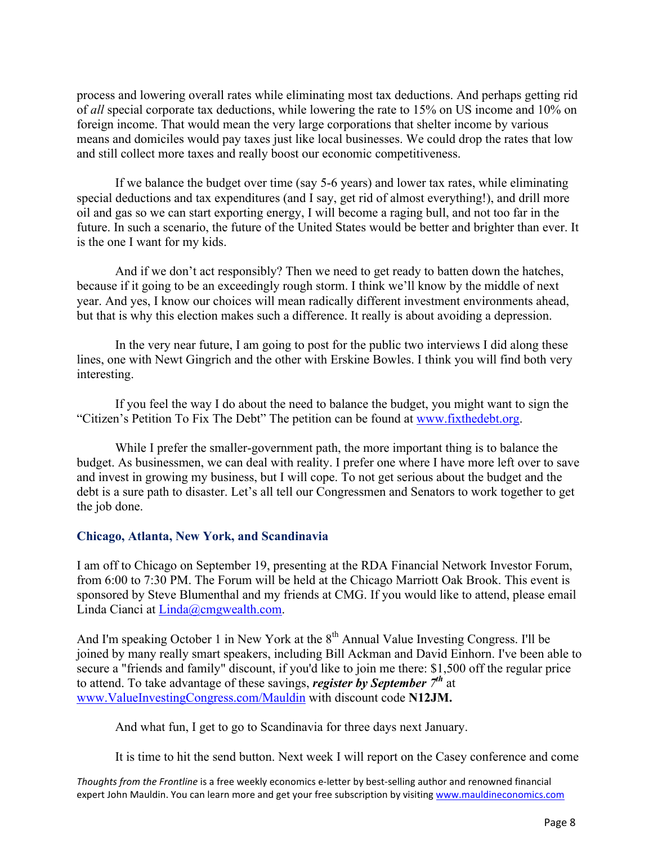process and lowering overall rates while eliminating most tax deductions. And perhaps getting rid of *all* special corporate tax deductions, while lowering the rate to 15% on US income and 10% on foreign income. That would mean the very large corporations that shelter income by various means and domiciles would pay taxes just like local businesses. We could drop the rates that low and still collect more taxes and really boost our economic competitiveness.

If we balance the budget over time (say 5-6 years) and lower tax rates, while eliminating special deductions and tax expenditures (and I say, get rid of almost everything!), and drill more oil and gas so we can start exporting energy, I will become a raging bull, and not too far in the future. In such a scenario, the future of the United States would be better and brighter than ever. It is the one I want for my kids.

And if we don't act responsibly? Then we need to get ready to batten down the hatches, because if it going to be an exceedingly rough storm. I think we'll know by the middle of next year. And yes, I know our choices will mean radically different investment environments ahead, but that is why this election makes such a difference. It really is about avoiding a depression.

In the very near future, I am going to post for the public two interviews I did along these lines, one with Newt Gingrich and the other with Erskine Bowles. I think you will find both very interesting.

If you feel the way I do about the need to balance the budget, you might want to sign the "Citizen's Petition To Fix The Debt" The petition can be found at www.fixthedebt.org.

While I prefer the smaller-government path, the more important thing is to balance the budget. As businessmen, we can deal with reality. I prefer one where I have more left over to save and invest in growing my business, but I will cope. To not get serious about the budget and the debt is a sure path to disaster. Let's all tell our Congressmen and Senators to work together to get the job done.

## **Chicago, Atlanta, New York, and Scandinavia**

I am off to Chicago on September 19, presenting at the RDA Financial Network Investor Forum, from 6:00 to 7:30 PM. The Forum will be held at the Chicago Marriott Oak Brook. This event is sponsored by Steve Blumenthal and my friends at CMG. If you would like to attend, please email Linda Cianci at Linda@cmgwealth.com.

And I'm speaking October 1 in New York at the 8<sup>th</sup> Annual Value Investing Congress. I'll be joined by many really smart speakers, including Bill Ackman and David Einhorn. I've been able to secure a "friends and family" discount, if you'd like to join me there: \$1,500 off the regular price to attend. To take advantage of these savings, *register by September 7th* at www.ValueInvestingCongress.com/Mauldin with discount code **N12JM.**

And what fun, I get to go to Scandinavia for three days next January.

It is time to hit the send button. Next week I will report on the Casey conference and come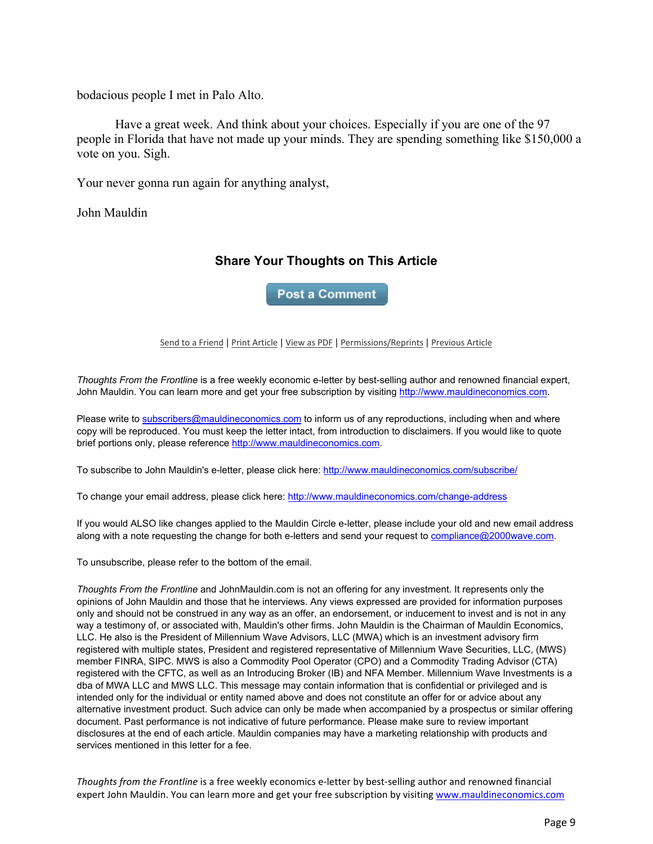bodacious people I met in Palo Alto.

Have a great week. And think about your choices. Especially if you are one of the 97 people in Florida that have not made up your minds. They are spending something like \$150,000 a vote on you. Sigh.

Your never gonna run again for anything analyst,

John Mauldin

# **Share Your Thoughts on This Article**

**Post a Comment** 

#### Send to a Friend | Print Article | View as PDF | Permissions/Reprints | Previous Article

*Thoughts From the Frontline* is a free weekly economic e-letter by best-selling author and renowned financial expert, John Mauldin. You can learn more and get your free subscription by visiting http://www.mauldineconomics.com.

Please write to subscribers@mauldineconomics.com to inform us of any reproductions, including when and where copy will be reproduced. You must keep the letter intact, from introduction to disclaimers. If you would like to quote brief portions only, please reference http://www.mauldineconomics.com.

To subscribe to John Mauldin's e-letter, please click here: http://www.mauldineconomics.com/subscribe/

To change your email address, please click here: http://www.mauldineconomics.com/change-address

If you would ALSO like changes applied to the Mauldin Circle e-letter, please include your old and new email address along with a note requesting the change for both e-letters and send your request to compliance@2000wave.com.

To unsubscribe, please refer to the bottom of the email.

*Thoughts From the Frontline* and JohnMauldin.com is not an offering for any investment. It represents only the opinions of John Mauldin and those that he interviews. Any views expressed are provided for information purposes only and should not be construed in any way as an offer, an endorsement, or inducement to invest and is not in any way a testimony of, or associated with, Mauldin's other firms. John Mauldin is the Chairman of Mauldin Economics, LLC. He also is the President of Millennium Wave Advisors, LLC (MWA) which is an investment advisory firm registered with multiple states, President and registered representative of Millennium Wave Securities, LLC, (MWS) member FINRA, SIPC. MWS is also a Commodity Pool Operator (CPO) and a Commodity Trading Advisor (CTA) registered with the CFTC, as well as an Introducing Broker (IB) and NFA Member. Millennium Wave Investments is a dba of MWA LLC and MWS LLC. This message may contain information that is confidential or privileged and is intended only for the individual or entity named above and does not constitute an offer for or advice about any alternative investment product. Such advice can only be made when accompanied by a prospectus or similar offering document. Past performance is not indicative of future performance. Please make sure to review important disclosures at the end of each article. Mauldin companies may have a marketing relationship with products and services mentioned in this letter for a fee.